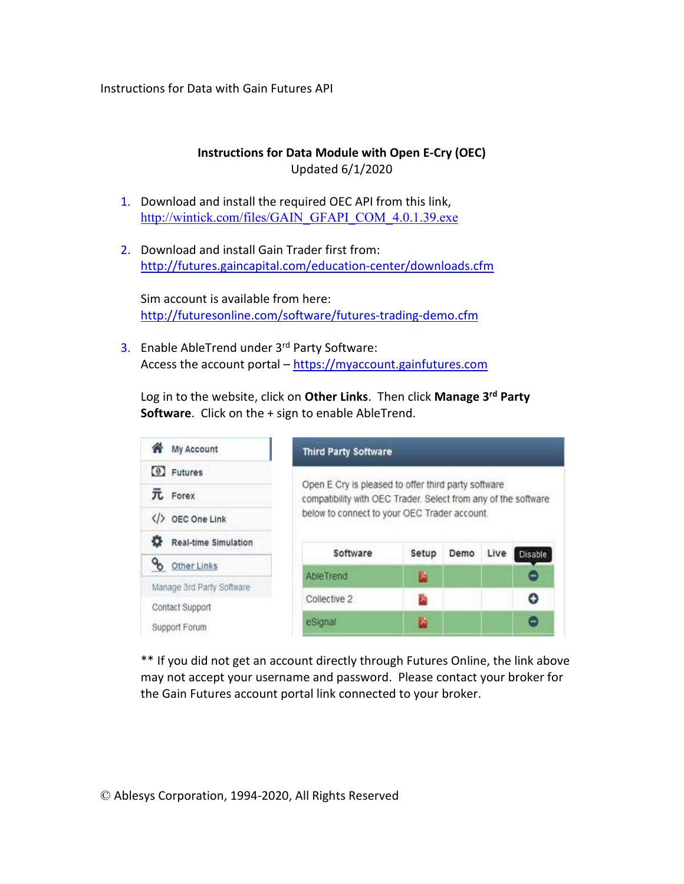Instructions for Data with Gain Futures API

## **Instructions for Data Module with Open E-Cry (OEC)**  Updated 6/1/2020

- 1. Download and install the required OEC API from this link, http://wintick.com/files/GAIN\_GFAPI\_COM\_4.0.1.39.exe
- 2. Download and install Gain Trader first from: http://futures.gaincapital.com/education-center/downloads.cfm

Sim account is available from here: http://futuresonline.com/software/futures-trading-demo.cfm

3. Enable AbleTrend under 3rd Party Software: Access the account portal – https://myaccount.gainfutures.com

Log in to the website, click on **Other Links**. Then click **Manage 3rd Party Software**. Click on the + sign to enable AbleTrend.

| My Account                                   | <b>Third Party Software</b>                                                                                           |       |      |      |                |  |  |  |  |
|----------------------------------------------|-----------------------------------------------------------------------------------------------------------------------|-------|------|------|----------------|--|--|--|--|
| $\odot$ Futures                              |                                                                                                                       |       |      |      |                |  |  |  |  |
| TL Forex                                     | Open E Cry is pleased to offer third party software<br>compatibility with OEC Trader. Select from any of the software |       |      |      |                |  |  |  |  |
| OEC One Link                                 | below to connect to your OEC Trader account.                                                                          |       |      |      |                |  |  |  |  |
| ٥<br>Real-time Simulation                    |                                                                                                                       |       |      |      |                |  |  |  |  |
| oo<br>Other Links                            | Software                                                                                                              | Setup | Demo | Live | <b>Disable</b> |  |  |  |  |
|                                              | <b>AbieTrend</b>                                                                                                      | ×     |      |      |                |  |  |  |  |
| Manage 3rd Party Software<br>Contact Support | Collective 2                                                                                                          | A     |      |      | o              |  |  |  |  |
| Support Forum                                | eSignal                                                                                                               | 囪     |      |      | 8              |  |  |  |  |

\*\* If you did not get an account directly through Futures Online, the link above may not accept your username and password. Please contact your broker for the Gain Futures account portal link connected to your broker.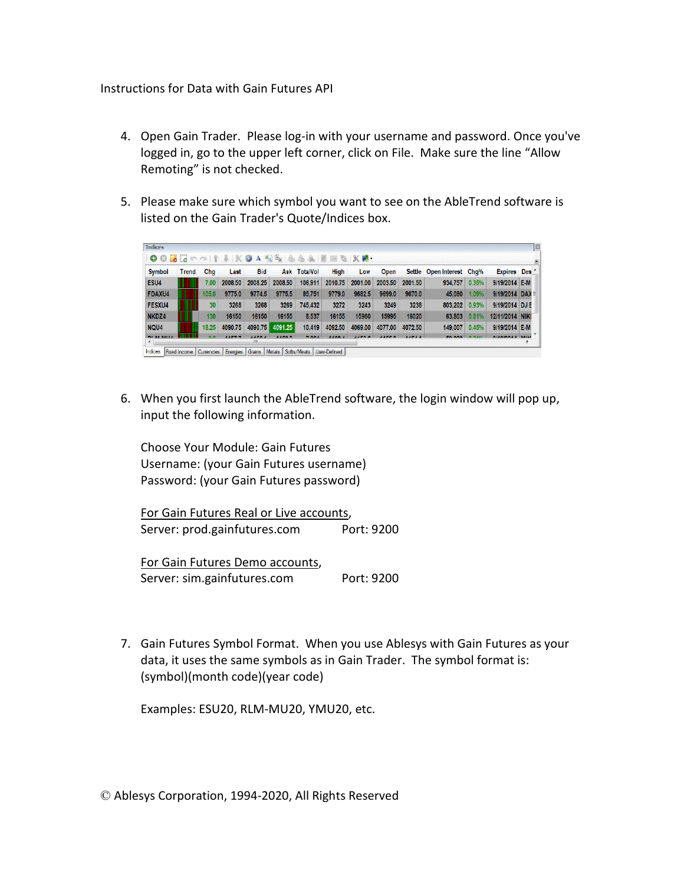Instructions for Data with Gain Futures API

- 4. Open Gain Trader. Please log-in with your username and password. Once you've logged in, go to the upper left corner, click on File. Make sure the line "Allow Remoting" is not checked.
- 5. Please make sure which symbol you want to see on the AbleTrend software is listed on the Gain Trader's Quote/Indices box.

| <b>Symbol</b> | Trend | Cha             | Last    | Bid     |         | Ask TotalVol | High    | Low     | <b>Open</b> |         | Settle Open Interest Chq% |       | <b>Expires</b> Des     |  |
|---------------|-------|-----------------|---------|---------|---------|--------------|---------|---------|-------------|---------|---------------------------|-------|------------------------|--|
| ESU4          |       | 7.00            | 2008.50 | 2008.25 | 2008.50 | 106.911      | 2010.75 | 2001.00 | 2003.50     | 2001.50 | 934.757                   | 0.35% | 9/19/2014 E-M          |  |
| <b>FDAXU4</b> |       | 105.0           | 9775.0  | 9774.5  | 9775.5  | 85,751       | 9779.0  | 9682.5  | 9699.0      | 9670.0  | 45,080                    | 1.09% | 9/19/2014 DAX $\equiv$ |  |
| <b>FESXU4</b> |       | 30 <sup>°</sup> | 3268    | 3268    | 3269    | 745.432      | 3272    | 3243    | 3249        | 3238    | 803.202                   | 0.93% | 9/19/2014 DJ F         |  |
| NKDZ4         |       | 130             | 16150   | 16150   | 16155   | 8.537        | 16155   | 15960   | 15995       | 16020   | 63.803                    | 0.81% | 12/11/2014 NIKI        |  |
| NQU4          |       | 18.25           | 4090.75 | 4090.75 | 4091.25 | 10.419       | 4092.50 | 4069.00 | 4077.00     | 4072.50 | 149.007                   | 0.45% | 9/19/2014 E-M          |  |

6. When you first launch the AbleTrend software, the login window will pop up, input the following information.

Choose Your Module: Gain Futures Username: (your Gain Futures username) Password: (your Gain Futures password)

For Gain Futures Real or Live accounts, Server: prod.gainfutures.com Port: 9200

For Gain Futures Demo accounts, Server: sim.gainfutures.com Port: 9200

7. Gain Futures Symbol Format. When you use Ablesys with Gain Futures as your data, it uses the same symbols as in Gain Trader. The symbol format is: (symbol)(month code)(year code)

Examples: ESU20, RLM-MU20, YMU20, etc.

© Ablesys Corporation, 1994-2020, All Rights Reserved